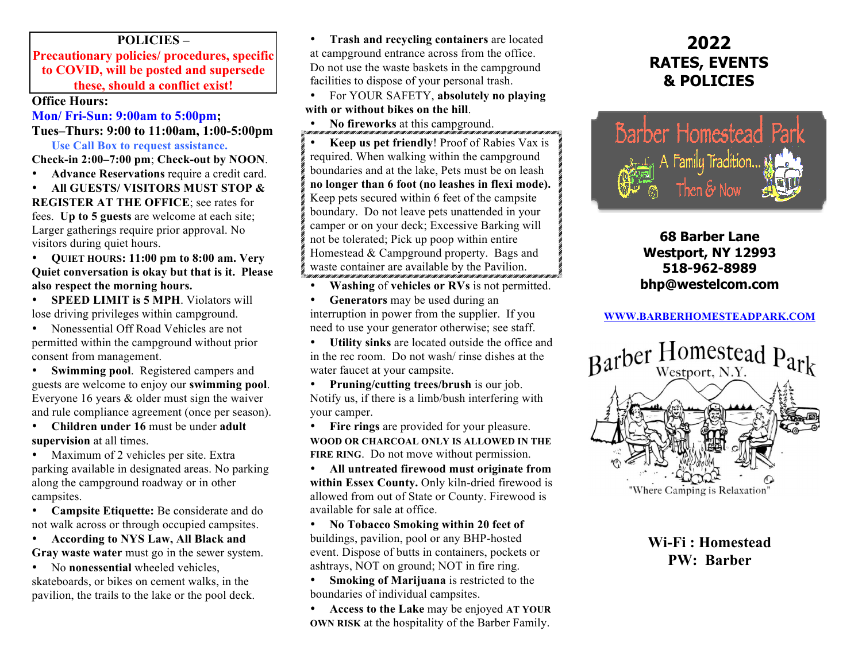## **POLICIES –**

**Precautionary policies/ procedures, specific to COVID, will be posted and supersede these, should a conflict exist!**

### **Office Hours:**

## **Mon/ Fri-Sun: 9:00am to 5:00pm; Tues–Thurs: 9:00 to 11:00am, 1:00-5:00pm**

**Use Call Box to request assistance. Check-in 2:00–7:00 pm**; **Check-out by NOON**.

• **Advance Reservations** require a credit card.

• **All GUESTS/ VISITORS MUST STOP & REGISTER AT THE OFFICE**; see rates for fees. **Up to 5 guests** are welcome at each site; Larger gatherings require prior approval. No visitors during quiet hours.

• **QUIET HOURS: 11:00 pm to 8:00 am. Very Quiet conversation is okay but that is it. Please also respect the morning hours.**

• **SPEED LIMIT is 5 MPH**. Violators will lose driving privileges within campground.

• Nonessential Off Road Vehicles are not permitted within the campground without prior consent from management.

**Swimming pool.** Registered campers and guests are welcome to enjoy our **swimming pool**. Everyone 16 years & older must sign the waiver and rule compliance agreement (once per season).

• **Children under 16** must be under **adult supervision** at all times.

• Maximum of 2 vehicles per site. Extra parking available in designated areas. No parking along the campground roadway or in other campsites.

• **Campsite Etiquette:** Be considerate and do not walk across or through occupied campsites.

• **According to NYS Law, All Black and Gray waste water** must go in the sewer system.

• No **nonessential** wheeled vehicles, skateboards, or bikes on cement walks, in the pavilion, the trails to the lake or the pool deck.

• **Trash and recycling containers** are located at campground entrance across from the office. Do not use the waste baskets in the campground facilities to dispose of your personal trash.

• For YOUR SAFETY, **absolutely no playing with or without bikes on the hill**.

• **No fireworks** at this campground.

• **Keep us pet friendly**! Proof of Rabies Vax is required. When walking within the campground boundaries and at the lake, Pets must be on leash **no longer than 6 foot (no leashes in flexi mode).** Keep pets secured within 6 feet of the campsite boundary. Do not leave pets unattended in your camper or on your deck; Excessive Barking will not be tolerated; Pick up poop within entire Homestead & Campground property. Bags and waste container are available by the Pavilion.

• **Washing** of **vehicles or RVs** is not permitted.

• **Generators** may be used during an interruption in power from the supplier. If you need to use your generator otherwise; see staff.

• **Utility sinks** are located outside the office and in the rec room. Do not wash/ rinse dishes at the water faucet at your campsite.

• **Pruning/cutting trees/brush** is our job. Notify us, if there is a limb/bush interfering with your camper.

• **Fire rings** are provided for your pleasure. **WOOD OR CHARCOAL ONLY IS ALLOWED IN THE FIRE RING**. Do not move without permission.

• **All untreated firewood must originate from within Essex County.** Only kiln-dried firewood is allowed from out of State or County. Firewood is available for sale at office.

• **No Tobacco Smoking within 20 feet of** buildings, pavilion, pool or any BHP-hosted event. Dispose of butts in containers, pockets or ashtrays, NOT on ground; NOT in fire ring.

• **Smoking of Marijuana** is restricted to the boundaries of individual campsites.

• **Access to the Lake** may be enjoyed **AT YOUR OWN RISK** at the hospitality of the Barber Family.

# **2022 RATES, EVENTS & POLICIES**



## **68 Barber Lane Westport, NY 12993 518-962-8989 bhp@westelcom.com**

## **WWW.BARBERHOMESTEADPARK.COM**



**Wi-Fi : Homestead PW: Barber**